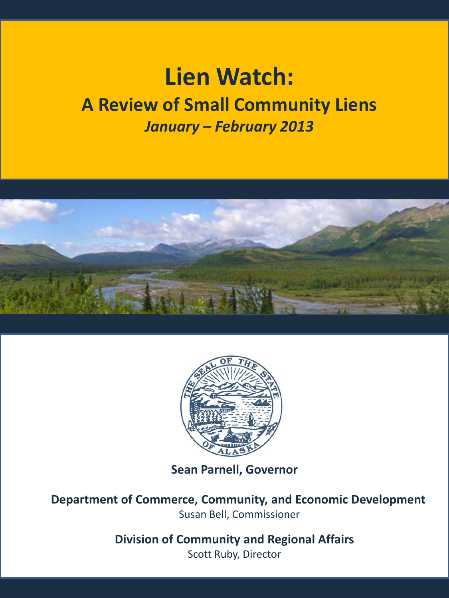# **Lien Watch: A Review of Small Community Liens** *January – February 2013*





**Sean Parnell, Governor**

**Department of Commerce, Community, and Economic Development** Susan Bell, Commissioner

> **Division of Community and Regional Affairs** Scott Ruby, Director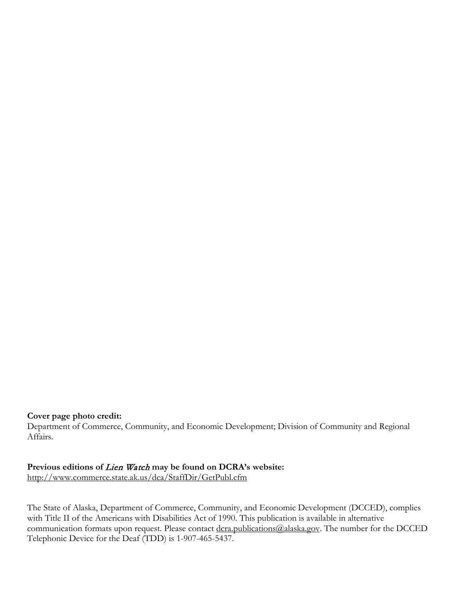#### **Cover page photo credit:**

Department of Commerce, Community, and Economic Development; Division of Community and Regional Affairs.

**Previous editions of** Lien Watch **may be found on DCRA's website:**

<http://www.commerce.state.ak.us/dca/StaffDir/GetPubl.cfm>

The State of Alaska, Department of Commerce, Community, and Economic Development (DCCED), complies with Title II of the Americans with Disabilities Act of 1990. This publication is available in alternative communication formats upon request. Please contact [dcra.publications@alaska.gov.](mailto:dcra.publications@alaska.gov) The number for the DCCED Telephonic Device for the Deaf (TDD) is 1-907-465-5437.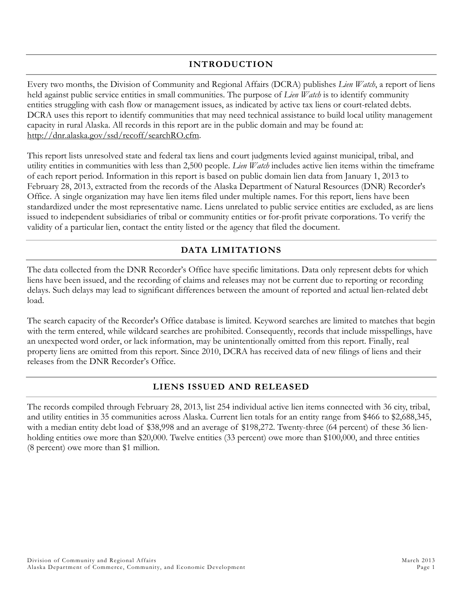# **INTRODUCTION**

Every two months, the Division of Community and Regional Affairs (DCRA) publishes *Lien Watch*, a report of liens held against public service entities in small communities. The purpose of *Lien Watch* is to identify community entities struggling with cash flow or management issues, as indicated by active tax liens or court-related debts. DCRA uses this report to identify communities that may need technical assistance to build local utility management capacity in rural Alaska. All records in this report are in the public domain and may be found at: [http://dnr.alaska.gov/ssd/recoff/searchRO.cfm.](http://dnr.alaska.gov/ssd/recoff/searchRO.cfm)

This report lists unresolved state and federal tax liens and court judgments levied against municipal, tribal, and utility entities in communities with less than 2,500 people. *Lien Watch* includes active lien items within the timeframe of each report period. Information in this report is based on public domain lien data from January 1, 2013 to February 28, 2013, extracted from the records of the Alaska Department of Natural Resources (DNR) Recorder's Office. A single organization may have lien items filed under multiple names. For this report, liens have been standardized under the most representative name. Liens unrelated to public service entities are excluded, as are liens issued to independent subsidiaries of tribal or community entities or for-profit private corporations. To verify the validity of a particular lien, contact the entity listed or the agency that filed the document.

# **DATA LIMITATIONS**

The data collected from the DNR Recorder's Office have specific limitations. Data only represent debts for which liens have been issued, and the recording of claims and releases may not be current due to reporting or recording delays. Such delays may lead to significant differences between the amount of reported and actual lien-related debt load.

The search capacity of the Recorder's Office database is limited. Keyword searches are limited to matches that begin with the term entered, while wildcard searches are prohibited. Consequently, records that include misspellings, have an unexpected word order, or lack information, may be unintentionally omitted from this report. Finally, real property liens are omitted from this report. Since 2010, DCRA has received data of new filings of liens and their releases from the DNR Recorder's Office.

## **LIENS ISSUED AND RELEASED**

The records compiled through February 28, 2013, list 254 individual active lien items connected with 36 city, tribal, and utility entities in 35 communities across Alaska. Current lien totals for an entity range from \$466 to \$2,688,345, with a median entity debt load of \$38,998 and an average of \$198,272. Twenty-three (64 percent) of these 36 lienholding entities owe more than \$20,000. Twelve entities (33 percent) owe more than \$100,000, and three entities (8 percent) owe more than \$1 million.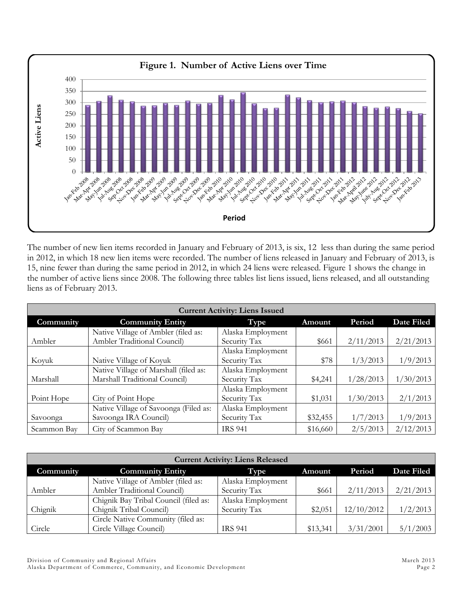

The number of new lien items recorded in January and February of 2013, is six, 12 less than during the same period in 2012, in which 18 new lien items were recorded. The number of liens released in January and February of 2013, is 15, nine fewer than during the same period in 2012, in which 24 liens were released. Figure 1 shows the change in the number of active liens since 2008. The following three tables list liens issued, liens released, and all outstanding liens as of February 2013.

| <b>Current Activity: Liens Issued</b> |                                       |                   |          |           |            |  |  |  |
|---------------------------------------|---------------------------------------|-------------------|----------|-----------|------------|--|--|--|
| Community                             | <b>Community Entity</b>               | Type              | Amount   | Period    | Date Filed |  |  |  |
|                                       | Native Village of Ambler (filed as:   | Alaska Employment |          |           |            |  |  |  |
| Ambler                                | Ambler Traditional Council)           | Security Tax      | \$661    | 2/11/2013 | 2/21/2013  |  |  |  |
|                                       |                                       | Alaska Employment |          |           |            |  |  |  |
| Koyuk                                 | Native Village of Koyuk               | Security Tax      | \$78     | 1/3/2013  | 1/9/2013   |  |  |  |
|                                       | Native Village of Marshall (filed as: | Alaska Employment |          |           |            |  |  |  |
| Marshall                              | Marshall Traditional Council)         | Security Tax      | \$4,241  | 1/28/2013 | 1/30/2013  |  |  |  |
|                                       |                                       | Alaska Employment |          |           |            |  |  |  |
| Point Hope                            | City of Point Hope                    | Security Tax      | \$1,031  | 1/30/2013 | 2/1/2013   |  |  |  |
|                                       | Native Village of Savoonga (Filed as: | Alaska Employment |          |           |            |  |  |  |
| Savoonga                              | Savoonga IRA Council)                 | Security Tax      | \$32,455 | 1/7/2013  | 1/9/2013   |  |  |  |
| Scammon Bay                           | City of Scammon Bay                   | <b>IRS 941</b>    | \$16,660 | 2/5/2013  | 2/12/2013  |  |  |  |

| <b>Current Activity: Liens Released</b> |                                       |                   |          |            |            |  |  |  |
|-----------------------------------------|---------------------------------------|-------------------|----------|------------|------------|--|--|--|
| Community                               | <b>Community Entity</b>               | Type              | Amount   | Period     | Date Filed |  |  |  |
|                                         | Native Village of Ambler (filed as:   | Alaska Employment |          |            |            |  |  |  |
| Ambler                                  | Ambler Traditional Council)           | Security Tax      | \$661    | 2/11/2013  | 2/21/2013  |  |  |  |
|                                         | Chignik Bay Tribal Council (filed as: | Alaska Employment |          |            |            |  |  |  |
| Chignik                                 | Chignik Tribal Council)               | Security Tax      | \$2,051  | 12/10/2012 | 1/2/2013   |  |  |  |
|                                         | Circle Native Community (filed as:    |                   |          |            |            |  |  |  |
| Circle                                  | Circle Village Council)               | <b>IRS 941</b>    | \$13,341 | 3/31/2001  | 5/1/2003   |  |  |  |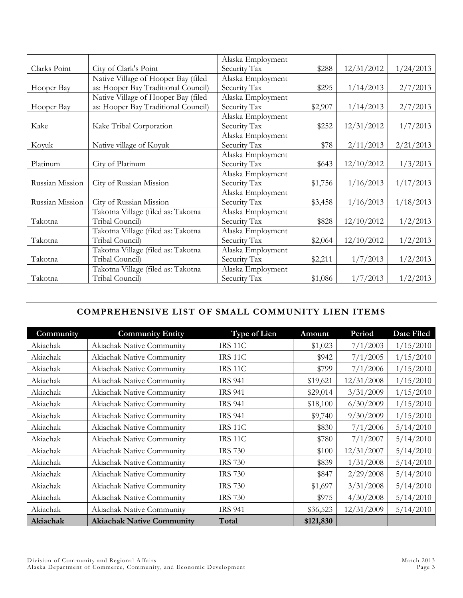|                 |                                     | Alaska Employment |         |            |           |
|-----------------|-------------------------------------|-------------------|---------|------------|-----------|
| Clarks Point    | City of Clark's Point               | Security Tax      | \$288   | 12/31/2012 | 1/24/2013 |
|                 | Native Village of Hooper Bay (filed | Alaska Employment |         |            |           |
| Hooper Bay      | as: Hooper Bay Traditional Council) | Security Tax      | \$295   | 1/14/2013  | 2/7/2013  |
|                 | Native Village of Hooper Bay (filed | Alaska Employment |         |            |           |
| Hooper Bay      | as: Hooper Bay Traditional Council) | Security Tax      | \$2,907 | 1/14/2013  | 2/7/2013  |
|                 |                                     | Alaska Employment |         |            |           |
| Kake            | Kake Tribal Corporation             | Security Tax      | \$252   | 12/31/2012 | 1/7/2013  |
|                 |                                     | Alaska Employment |         |            |           |
| Koyuk           | Native village of Koyuk             | Security Tax      | \$78    | 2/11/2013  | 2/21/2013 |
|                 |                                     | Alaska Employment |         |            |           |
| Platinum        | City of Platinum                    | Security Tax      | \$643   | 12/10/2012 | 1/3/2013  |
|                 |                                     | Alaska Employment |         |            |           |
| Russian Mission | City of Russian Mission             | Security Tax      | \$1,756 | 1/16/2013  | 1/17/2013 |
|                 |                                     | Alaska Employment |         |            |           |
| Russian Mission | City of Russian Mission             | Security Tax      | \$3,458 | 1/16/2013  | 1/18/2013 |
|                 | Takotna Village (filed as: Takotna  | Alaska Employment |         |            |           |
| Takotna         | Tribal Council)                     | Security Tax      | \$828   | 12/10/2012 | 1/2/2013  |
|                 | Takotna Village (filed as: Takotna  | Alaska Employment |         |            |           |
| Takotna         | Tribal Council)                     | Security Tax      | \$2,064 | 12/10/2012 | 1/2/2013  |
|                 | Takotna Village (filed as: Takotna  | Alaska Employment |         |            |           |
| Takotna         | Tribal Council)                     | Security Tax      | \$2,211 | 1/7/2013   | 1/2/2013  |
|                 | Takotna Village (filed as: Takotna  | Alaska Employment |         |            |           |
| Takotna         | Tribal Council)                     | Security Tax      | \$1,086 | 1/7/2013   | 1/2/2013  |

# **COMPREHENSIVE LIST OF SMALL COMMUNITY LIEN ITEMS**

| Community | <b>Community Entity</b>          | <b>Type of Lien</b> | Amount    | Period     | Date Filed |
|-----------|----------------------------------|---------------------|-----------|------------|------------|
| Akiachak  | Akiachak Native Community        | <b>IRS 11C</b>      | \$1,023   | 7/1/2003   | 1/15/2010  |
| Akiachak  | Akiachak Native Community        | IRS 11C             | \$942     | 7/1/2005   | 1/15/2010  |
| Akiachak  | Akiachak Native Community        | <b>IRS 11C</b>      | \$799     | 7/1/2006   | 1/15/2010  |
| Akiachak  | Akiachak Native Community        | <b>IRS 941</b>      | \$19,621  | 12/31/2008 | 1/15/2010  |
| Akiachak  | Akiachak Native Community        | <b>IRS 941</b>      | \$29,014  | 3/31/2009  | 1/15/2010  |
| Akiachak  | Akiachak Native Community        | <b>IRS 941</b>      | \$18,100  | 6/30/2009  | 1/15/2010  |
| Akiachak  | Akiachak Native Community        | <b>IRS 941</b>      | \$9,740   | 9/30/2009  | 1/15/2010  |
| Akiachak  | Akiachak Native Community        | IRS 11C             | \$830     | 7/1/2006   | 5/14/2010  |
| Akiachak  | Akiachak Native Community        | <b>IRS 11C</b>      | \$780     | 7/1/2007   | 5/14/2010  |
| Akiachak  | Akiachak Native Community        | <b>IRS 730</b>      | \$100     | 12/31/2007 | 5/14/2010  |
| Akiachak  | Akiachak Native Community        | <b>IRS 730</b>      | \$839     | 1/31/2008  | 5/14/2010  |
| Akiachak  | Akiachak Native Community        | <b>IRS 730</b>      | \$847     | 2/29/2008  | 5/14/2010  |
| Akiachak  | Akiachak Native Community        | <b>IRS 730</b>      | \$1,697   | 3/31/2008  | 5/14/2010  |
| Akiachak  | Akiachak Native Community        | <b>IRS 730</b>      | \$975     | 4/30/2008  | 5/14/2010  |
| Akiachak  | Akiachak Native Community        | <b>IRS 941</b>      | \$36,523  | 12/31/2009 | 5/14/2010  |
| Akiachak  | <b>Akiachak Native Community</b> | Total               | \$121,830 |            |            |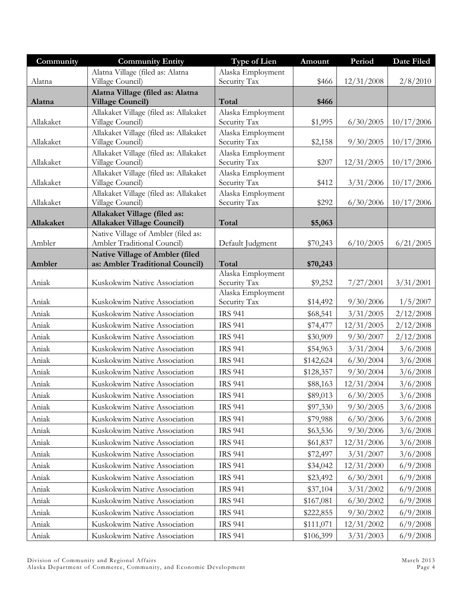| Community | <b>Community Entity</b>                                            | Type of Lien                      | Amount    | Period     | Date Filed |
|-----------|--------------------------------------------------------------------|-----------------------------------|-----------|------------|------------|
|           | Alatna Village (filed as: Alatna                                   | Alaska Employment                 |           |            |            |
| Alatna    | Village Council)                                                   | Security Tax                      | \$466     | 12/31/2008 | 2/8/2010   |
| Alatna    | Alatna Village (filed as: Alatna<br><b>Village Council)</b>        | Total                             | \$466     |            |            |
|           | Allakaket Village (filed as: Allakaket                             | Alaska Employment                 |           | 6/30/2005  |            |
| Allakaket | Village Council)<br>Allakaket Village (filed as: Allakaket         | Security Tax<br>Alaska Employment | \$1,995   |            | 10/17/2006 |
| Allakaket | Village Council)                                                   | Security Tax                      | \$2,158   | 9/30/2005  | 10/17/2006 |
| Allakaket | Allakaket Village (filed as: Allakaket<br>Village Council)         | Alaska Employment<br>Security Tax | \$207     | 12/31/2005 | 10/17/2006 |
| Allakaket | Allakaket Village (filed as: Allakaket<br>Village Council)         | Alaska Employment<br>Security Tax | \$412     | 3/31/2006  | 10/17/2006 |
|           | Allakaket Village (filed as: Allakaket                             | Alaska Employment                 |           |            |            |
| Allakaket | Village Council)                                                   | Security Tax                      | \$292     | 6/30/2006  | 10/17/2006 |
| Allakaket | Allakaket Village (filed as:<br><b>Allakaket Village Council)</b>  | Total                             | \$5,063   |            |            |
| Ambler    | Native Village of Ambler (filed as:<br>Ambler Traditional Council) | Default Judgment                  | \$70,243  | 6/10/2005  | 6/21/2005  |
|           | Native Village of Ambler (filed                                    |                                   |           |            |            |
| Ambler    | as: Ambler Traditional Council)                                    | Total                             | \$70,243  |            |            |
|           |                                                                    | Alaska Employment                 |           |            |            |
| Aniak     | Kuskokwim Native Association                                       | Security Tax<br>Alaska Employment | \$9,252   | 7/27/2001  | 3/31/2001  |
| Aniak     | Kuskokwim Native Association                                       | Security Tax                      | \$14,492  | 9/30/2006  | 1/5/2007   |
| Aniak     | Kuskokwim Native Association                                       | <b>IRS 941</b>                    | \$68,541  | 3/31/2005  | 2/12/2008  |
| Aniak     | Kuskokwim Native Association                                       | <b>IRS 941</b>                    | \$74,477  | 12/31/2005 | 2/12/2008  |
| Aniak     | Kuskokwim Native Association                                       | <b>IRS 941</b>                    | \$30,909  | 9/30/2007  | 2/12/2008  |
| Aniak     | Kuskokwim Native Association                                       | <b>IRS 941</b>                    | \$54,963  | 3/31/2004  | 3/6/2008   |
| Aniak     | Kuskokwim Native Association                                       | <b>IRS 941</b>                    | \$142,624 | 6/30/2004  | 3/6/2008   |
| Aniak     | Kuskokwim Native Association                                       | <b>IRS 941</b>                    | \$128,357 | 9/30/2004  | 3/6/2008   |
| Aniak     | Kuskokwim Native Association                                       | <b>IRS 941</b>                    | \$88,163  | 12/31/2004 | 3/6/2008   |
| Aniak     | Kuskokwim Native Association                                       | <b>IRS 941</b>                    | \$89,013  | 6/30/2005  | 3/6/2008   |
| Aniak     | Kuskokwim Native Association                                       | <b>IRS 941</b>                    | \$97,330  | 9/30/2005  | 3/6/2008   |
| Aniak     | Kuskokwim Native Association                                       | <b>IRS 941</b>                    | \$79,988  | 6/30/2006  | 3/6/2008   |
| Aniak     | Kuskokwim Native Association                                       | <b>IRS 941</b>                    | \$63,536  | 9/30/2006  | 3/6/2008   |
| Aniak     | Kuskokwim Native Association                                       | <b>IRS 941</b>                    | \$61,837  | 12/31/2006 | 3/6/2008   |
| Aniak     | Kuskokwim Native Association                                       | <b>IRS 941</b>                    | \$72,497  | 3/31/2007  | 3/6/2008   |
| Aniak     | Kuskokwim Native Association                                       | <b>IRS 941</b>                    | \$34,042  | 12/31/2000 | 6/9/2008   |
| Aniak     | Kuskokwim Native Association                                       | <b>IRS 941</b>                    | \$23,492  | 6/30/2001  | 6/9/2008   |
| Aniak     | Kuskokwim Native Association                                       | <b>IRS 941</b>                    | \$37,104  | 3/31/2002  | 6/9/2008   |
| Aniak     | Kuskokwim Native Association                                       | <b>IRS 941</b>                    | \$167,081 | 6/30/2002  | 6/9/2008   |
| Aniak     | Kuskokwim Native Association                                       | <b>IRS 941</b>                    | \$222,855 | 9/30/2002  | 6/9/2008   |
| Aniak     | Kuskokwim Native Association                                       | <b>IRS 941</b>                    | \$111,071 | 12/31/2002 | 6/9/2008   |
| Aniak     | Kuskokwim Native Association                                       | <b>IRS 941</b>                    | \$106,399 | 3/31/2003  | 6/9/2008   |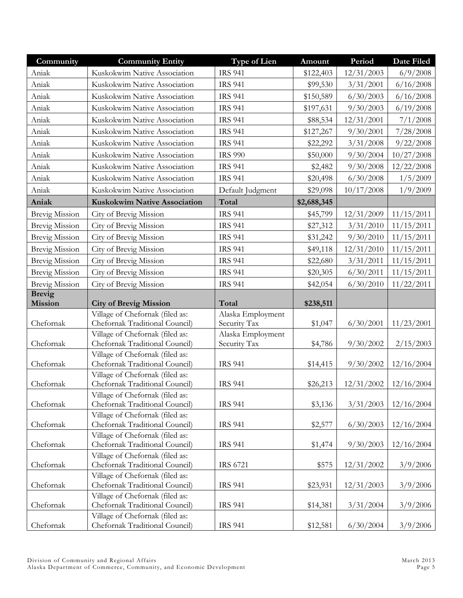| Community             | <b>Community Entity</b>                                           | Type of Lien      | Amount      | Period     | Date Filed |
|-----------------------|-------------------------------------------------------------------|-------------------|-------------|------------|------------|
| Aniak                 | Kuskokwim Native Association                                      | <b>IRS 941</b>    | \$122,403   | 12/31/2003 | 6/9/2008   |
| Aniak                 | Kuskokwim Native Association                                      | <b>IRS 941</b>    | \$99,530    | 3/31/2001  | 6/16/2008  |
| Aniak                 | Kuskokwim Native Association                                      | <b>IRS 941</b>    | \$150,589   | 6/30/2003  | 6/16/2008  |
| Aniak                 | Kuskokwim Native Association                                      | <b>IRS 941</b>    | \$197,631   | 9/30/2003  | 6/19/2008  |
| Aniak                 | Kuskokwim Native Association                                      | <b>IRS 941</b>    | \$88,534    | 12/31/2001 | 7/1/2008   |
| Aniak                 | Kuskokwim Native Association                                      | <b>IRS 941</b>    | \$127,267   | 9/30/2001  | 7/28/2008  |
| Aniak                 | Kuskokwim Native Association                                      | <b>IRS 941</b>    | \$22,292    | 3/31/2008  | 9/22/2008  |
| Aniak                 | Kuskokwim Native Association                                      | <b>IRS 990</b>    | \$50,000    | 9/30/2004  | 10/27/2008 |
| Aniak                 | Kuskokwim Native Association                                      | <b>IRS 941</b>    | \$2,482     | 9/30/2008  | 12/22/2008 |
| Aniak                 | Kuskokwim Native Association                                      | <b>IRS 941</b>    | \$20,498    | 6/30/2008  | 1/5/2009   |
| Aniak                 | Kuskokwim Native Association                                      | Default Judgment  | \$29,098    | 10/17/2008 | 1/9/2009   |
| Aniak                 | Kuskokwim Native Association                                      | Total             | \$2,688,345 |            |            |
| <b>Brevig Mission</b> | City of Brevig Mission                                            | <b>IRS 941</b>    | \$45,799    | 12/31/2009 | 11/15/2011 |
| <b>Brevig Mission</b> | City of Brevig Mission                                            | <b>IRS 941</b>    | \$27,312    | 3/31/2010  | 11/15/2011 |
| <b>Brevig Mission</b> | City of Brevig Mission                                            | <b>IRS 941</b>    | \$31,242    | 9/30/2010  | 11/15/2011 |
| <b>Brevig Mission</b> | City of Brevig Mission                                            | <b>IRS 941</b>    | \$49,118    | 12/31/2010 | 11/15/2011 |
| <b>Brevig Mission</b> | City of Brevig Mission                                            | <b>IRS 941</b>    | \$22,680    | 3/31/2011  | 11/15/2011 |
| <b>Brevig Mission</b> | City of Brevig Mission                                            | <b>IRS 941</b>    | \$20,305    | 6/30/2011  | 11/15/2011 |
| <b>Brevig Mission</b> | City of Brevig Mission                                            | <b>IRS 941</b>    | \$42,054    | 6/30/2010  | 11/22/2011 |
| <b>Brevig</b>         |                                                                   |                   |             |            |            |
|                       |                                                                   |                   |             |            |            |
| <b>Mission</b>        | <b>City of Brevig Mission</b>                                     | Total             | \$238,511   |            |            |
|                       | Village of Chefornak (filed as:                                   | Alaska Employment |             |            |            |
| Chefornak             | Chefornak Traditional Council)                                    | Security Tax      | \$1,047     | 6/30/2001  | 11/23/2001 |
|                       | Village of Chefornak (filed as:                                   | Alaska Employment |             |            |            |
| Chefornak             | Chefornak Traditional Council)                                    | Security Tax      | \$4,786     | 9/30/2002  | 2/15/2003  |
| Chefornak             | Village of Chefornak (filed as:<br>Chefornak Traditional Council) | <b>IRS 941</b>    | \$14,415    | 9/30/2002  | 12/16/2004 |
|                       | Village of Chefornak (filed as:                                   |                   |             |            |            |
| Chefornak             | Chefornak Traditional Council)                                    | <b>IRS 941</b>    | \$26,213    | 12/31/2002 | 12/16/2004 |
|                       | Village of Chefornak (filed as:                                   |                   |             |            |            |
| Chefornak             | Chefornak Traditional Council)                                    | <b>IRS 941</b>    | \$3,136     | 3/31/2003  | 12/16/2004 |
|                       | Village of Chefornak (filed as:                                   |                   |             |            |            |
| Chefornak             | Chefornak Traditional Council)                                    | <b>IRS 941</b>    | \$2,577     | 6/30/2003  | 12/16/2004 |
| Chefornak             | Village of Chefornak (filed as:<br>Chefornak Traditional Council) | <b>IRS 941</b>    | \$1,474     | 9/30/2003  | 12/16/2004 |
|                       | Village of Chefornak (filed as:                                   |                   |             |            |            |
| Chefornak             | Chefornak Traditional Council)                                    | <b>IRS 6721</b>   | \$575       | 12/31/2002 | 3/9/2006   |
|                       | Village of Chefornak (filed as:                                   |                   |             |            |            |
| Chefornak             | Chefornak Traditional Council)                                    | <b>IRS 941</b>    | \$23,931    | 12/31/2003 | 3/9/2006   |
|                       | Village of Chefornak (filed as:                                   |                   |             |            |            |
| Chefornak             | Chefornak Traditional Council)<br>Village of Chefornak (filed as: | <b>IRS 941</b>    | \$14,381    | 3/31/2004  | 3/9/2006   |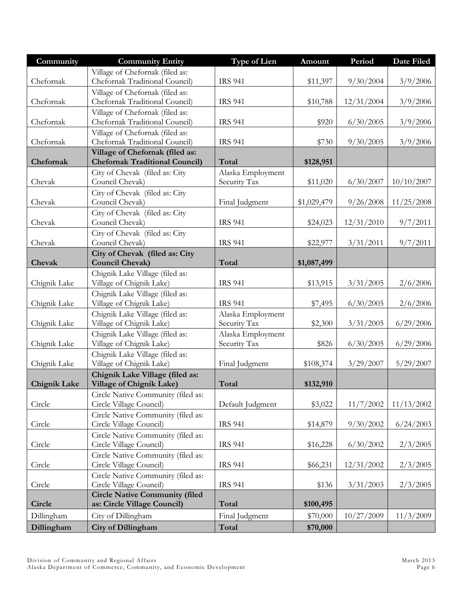| Community           | <b>Community Entity</b>                                       | <b>Type of Lien</b> | Amount      | Period     | Date Filed |
|---------------------|---------------------------------------------------------------|---------------------|-------------|------------|------------|
|                     | Village of Chefornak (filed as:                               |                     |             |            |            |
| Chefornak           | Chefornak Traditional Council)                                | <b>IRS 941</b>      | \$11,397    | 9/30/2004  | 3/9/2006   |
|                     | Village of Chefornak (filed as:                               |                     |             |            |            |
| Chefornak           | Chefornak Traditional Council)                                | <b>IRS 941</b>      | \$10,788    | 12/31/2004 | 3/9/2006   |
|                     | Village of Chefornak (filed as:                               |                     |             |            |            |
| Chefornak           | Chefornak Traditional Council)                                | <b>IRS 941</b>      | \$920       | 6/30/2005  | 3/9/2006   |
|                     | Village of Chefornak (filed as:                               |                     |             |            |            |
| Chefornak           | Chefornak Traditional Council)                                | <b>IRS 941</b>      | \$730       | 9/30/2005  | 3/9/2006   |
|                     | Village of Chefornak (filed as:                               |                     |             |            |            |
| Chefornak           | <b>Chefornak Traditional Council)</b>                         | Total               | \$128,951   |            |            |
|                     | City of Chevak (filed as: City                                | Alaska Employment   |             |            |            |
| Chevak              | Council Chevak)                                               | Security Tax        | \$11,020    | 6/30/2007  | 10/10/2007 |
| Chevak              | City of Chevak (filed as: City<br>Council Chevak)             |                     |             |            |            |
|                     |                                                               | Final Judgment      | \$1,029,479 | 9/26/2008  | 11/25/2008 |
| Chevak              | City of Chevak (filed as: City<br>Council Chevak)             | <b>IRS 941</b>      | \$24,023    | 12/31/2010 | 9/7/2011   |
|                     | City of Chevak (filed as: City                                |                     |             |            |            |
| Chevak              | Council Chevak)                                               | <b>IRS 941</b>      | \$22,977    | 3/31/2011  | 9/7/2011   |
|                     | City of Chevak (filed as: City                                |                     |             |            |            |
| Chevak              | <b>Council Chevak)</b>                                        | Total               | \$1,087,499 |            |            |
|                     | Chignik Lake Village (filed as:                               |                     |             |            |            |
| Chignik Lake        | Village of Chignik Lake)                                      | <b>IRS 941</b>      | \$13,915    | 3/31/2005  | 2/6/2006   |
|                     | Chignik Lake Village (filed as:                               |                     |             |            |            |
| Chignik Lake        | Village of Chignik Lake)                                      | <b>IRS 941</b>      | \$7,495     | 6/30/2005  | 2/6/2006   |
|                     | Chignik Lake Village (filed as:                               | Alaska Employment   |             |            |            |
| Chignik Lake        | Village of Chignik Lake)                                      | Security Tax        | \$2,300     | 3/31/2005  | 6/29/2006  |
|                     | Chignik Lake Village (filed as:                               | Alaska Employment   |             |            |            |
| Chignik Lake        | Village of Chignik Lake)                                      | Security Tax        | \$826       | 6/30/2005  | 6/29/2006  |
|                     | Chignik Lake Village (filed as:                               |                     |             |            |            |
| Chignik Lake        | Village of Chignik Lake)                                      | Final Judgment      | \$108,374   | 3/29/2007  | 5/29/2007  |
|                     | Chignik Lake Village (filed as:                               |                     |             |            |            |
| <b>Chignik Lake</b> | Village of Chignik Lake)                                      | Total               | \$132,910   |            |            |
|                     | Circle Native Community (filed as:                            |                     |             |            |            |
| Circle              | Circle Village Council)                                       | Default Judgment    | \$3,022     | 11/7/2002  | 11/13/2002 |
|                     | Circle Native Community (filed as:                            |                     |             |            |            |
| Circle              | Circle Village Council)                                       | <b>IRS 941</b>      | \$14,879    | 9/30/2002  | 6/24/2003  |
| Circle              | Circle Native Community (filed as:<br>Circle Village Council) | <b>IRS 941</b>      |             | 6/30/2002  | 2/3/2005   |
|                     | Circle Native Community (filed as:                            |                     | \$16,228    |            |            |
| Circle              | Circle Village Council)                                       | <b>IRS 941</b>      | \$66,231    | 12/31/2002 | 2/3/2005   |
|                     | Circle Native Community (filed as:                            |                     |             |            |            |
| Circle              | Circle Village Council)                                       | <b>IRS 941</b>      | \$136       | 3/31/2003  | 2/3/2005   |
|                     | <b>Circle Native Community (filed</b>                         |                     |             |            |            |
| Circle              | as: Circle Village Council)                                   | Total               | \$100,495   |            |            |
| Dillingham          | City of Dillingham                                            | Final Judgment      | \$70,000    | 10/27/2009 | 11/3/2009  |
| Dillingham          | City of Dillingham                                            | Total               | \$70,000    |            |            |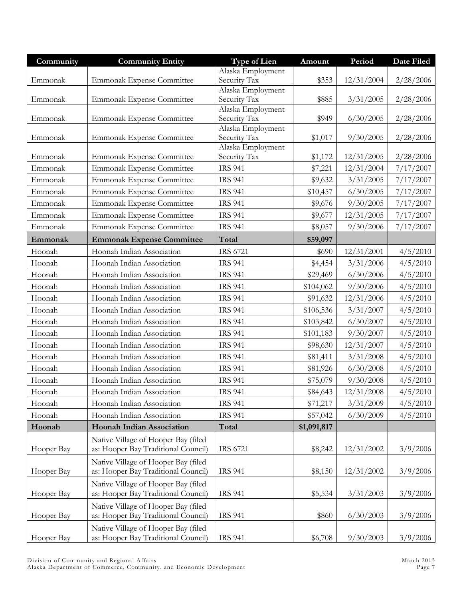| Community  | <b>Community Entity</b>             | <b>Type of Lien</b>               | Amount      | Period     | Date Filed |
|------------|-------------------------------------|-----------------------------------|-------------|------------|------------|
|            |                                     | Alaska Employment                 |             |            |            |
| Emmonak    | Emmonak Expense Committee           | Security Tax                      | \$353       | 12/31/2004 | 2/28/2006  |
| Emmonak    | Emmonak Expense Committee           | Alaska Employment<br>Security Tax | \$885       | 3/31/2005  | 2/28/2006  |
|            |                                     | Alaska Employment                 |             |            |            |
| Emmonak    | <b>Emmonak Expense Committee</b>    | Security Tax                      | \$949       | 6/30/2005  | 2/28/2006  |
|            |                                     | Alaska Employment                 |             |            |            |
| Emmonak    | Emmonak Expense Committee           | Security Tax                      | \$1,017     | 9/30/2005  | 2/28/2006  |
| Emmonak    | Emmonak Expense Committee           | Alaska Employment<br>Security Tax | \$1,172     | 12/31/2005 | 2/28/2006  |
| Emmonak    | <b>Emmonak Expense Committee</b>    | <b>IRS 941</b>                    | \$7,221     | 12/31/2004 | 7/17/2007  |
| Emmonak    | Emmonak Expense Committee           | <b>IRS 941</b>                    | \$9,632     | 3/31/2005  | 7/17/2007  |
| Emmonak    | Emmonak Expense Committee           | <b>IRS 941</b>                    | \$10,457    | 6/30/2005  | 7/17/2007  |
| Emmonak    | <b>Emmonak Expense Committee</b>    | <b>IRS 941</b>                    | \$9,676     | 9/30/2005  | 7/17/2007  |
| Emmonak    | Emmonak Expense Committee           | <b>IRS 941</b>                    | \$9,677     | 12/31/2005 | 7/17/2007  |
| Emmonak    | <b>Emmonak Expense Committee</b>    | <b>IRS 941</b>                    |             | 9/30/2006  | 7/17/2007  |
|            |                                     |                                   | \$8,057     |            |            |
| Emmonak    | <b>Emmonak Expense Committee</b>    | Total                             | \$59,097    |            |            |
| Hoonah     | Hoonah Indian Association           | <b>IRS 6721</b>                   | \$690       | 12/31/2001 | 4/5/2010   |
| Hoonah     | Hoonah Indian Association           | <b>IRS 941</b>                    | \$4,454     | 3/31/2006  | 4/5/2010   |
| Hoonah     | Hoonah Indian Association           | <b>IRS 941</b>                    | \$29,469    | 6/30/2006  | 4/5/2010   |
| Hoonah     | Hoonah Indian Association           | <b>IRS 941</b>                    | \$104,062   | 9/30/2006  | 4/5/2010   |
| Hoonah     | Hoonah Indian Association           | <b>IRS 941</b>                    | \$91,632    | 12/31/2006 | 4/5/2010   |
| Hoonah     | Hoonah Indian Association           | <b>IRS 941</b>                    | \$106,536   | 3/31/2007  | 4/5/2010   |
| Hoonah     | Hoonah Indian Association           | <b>IRS 941</b>                    | \$103,842   | 6/30/2007  | 4/5/2010   |
| Hoonah     | Hoonah Indian Association           | <b>IRS 941</b>                    | \$101,183   | 9/30/2007  | 4/5/2010   |
| Hoonah     | Hoonah Indian Association           | <b>IRS 941</b>                    | \$98,630    | 12/31/2007 | 4/5/2010   |
| Hoonah     | Hoonah Indian Association           | <b>IRS 941</b>                    | \$81,411    | 3/31/2008  | 4/5/2010   |
| Hoonah     | Hoonah Indian Association           | <b>IRS 941</b>                    | \$81,926    | 6/30/2008  | 4/5/2010   |
| Hoonah     | Hoonah Indian Association           | <b>IRS 941</b>                    | \$75,079    | 9/30/2008  | 4/5/2010   |
| Hoonah     | Hoonah Indian Association           | <b>IRS 941</b>                    | \$84,643    | 12/31/2008 | 4/5/2010   |
| Hoonah     | Hoonah Indian Association           | <b>IRS 941</b>                    | \$71,217    | 3/31/2009  | 4/5/2010   |
| Hoonah     | Hoonah Indian Association           | <b>IRS 941</b>                    | \$57,042    | 6/30/2009  | 4/5/2010   |
| Hoonah     | <b>Hoonah Indian Association</b>    | Total                             | \$1,091,817 |            |            |
|            | Native Village of Hooper Bay (filed |                                   |             |            |            |
| Hooper Bay | as: Hooper Bay Traditional Council) | <b>IRS 6721</b>                   | \$8,242     | 12/31/2002 | 3/9/2006   |
|            | Native Village of Hooper Bay (filed |                                   |             |            |            |
| Hooper Bay | as: Hooper Bay Traditional Council) | <b>IRS 941</b>                    | \$8,150     | 12/31/2002 | 3/9/2006   |
|            | Native Village of Hooper Bay (filed |                                   |             |            |            |
| Hooper Bay | as: Hooper Bay Traditional Council) | <b>IRS 941</b>                    | \$5,534     | 3/31/2003  | 3/9/2006   |
|            | Native Village of Hooper Bay (filed |                                   |             |            |            |
| Hooper Bay | as: Hooper Bay Traditional Council) | <b>IRS 941</b>                    | \$860       | 6/30/2003  | 3/9/2006   |
|            | Native Village of Hooper Bay (filed |                                   |             |            |            |
| Hooper Bay | as: Hooper Bay Traditional Council) | <b>IRS 941</b>                    | \$6,708     | 9/30/2003  | 3/9/2006   |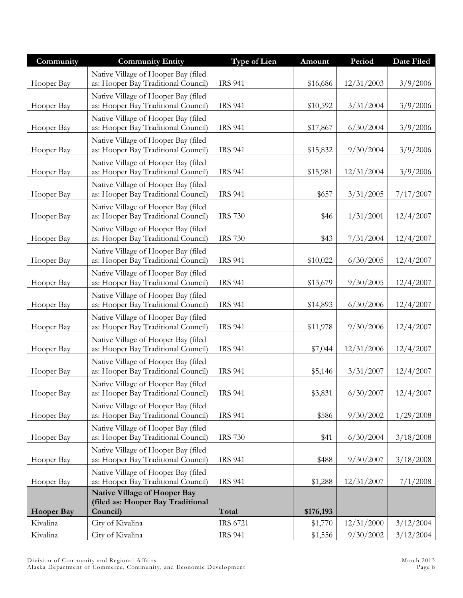| Community         | <b>Community Entity</b>                                                       | <b>Type of Lien</b> | Amount    | Period     | Date Filed |
|-------------------|-------------------------------------------------------------------------------|---------------------|-----------|------------|------------|
| Hooper Bay        | Native Village of Hooper Bay (filed<br>as: Hooper Bay Traditional Council)    | <b>IRS 941</b>      | \$16,686  | 12/31/2003 | 3/9/2006   |
| Hooper Bay        | Native Village of Hooper Bay (filed<br>as: Hooper Bay Traditional Council)    | <b>IRS 941</b>      | \$10,592  | 3/31/2004  | 3/9/2006   |
| Hooper Bay        | Native Village of Hooper Bay (filed<br>as: Hooper Bay Traditional Council)    | <b>IRS 941</b>      | \$17,867  | 6/30/2004  | 3/9/2006   |
| Hooper Bay        | Native Village of Hooper Bay (filed<br>as: Hooper Bay Traditional Council)    | <b>IRS 941</b>      | \$15,832  | 9/30/2004  | 3/9/2006   |
| Hooper Bay        | Native Village of Hooper Bay (filed<br>as: Hooper Bay Traditional Council)    | <b>IRS 941</b>      | \$15,981  | 12/31/2004 | 3/9/2006   |
| Hooper Bay        | Native Village of Hooper Bay (filed<br>as: Hooper Bay Traditional Council)    | <b>IRS 941</b>      | \$657     | 3/31/2005  | 7/17/2007  |
| Hooper Bay        | Native Village of Hooper Bay (filed<br>as: Hooper Bay Traditional Council)    | <b>IRS 730</b>      | \$46      | 1/31/2001  | 12/4/2007  |
| Hooper Bay        | Native Village of Hooper Bay (filed<br>as: Hooper Bay Traditional Council)    | <b>IRS 730</b>      | \$43      | 7/31/2004  | 12/4/2007  |
| Hooper Bay        | Native Village of Hooper Bay (filed<br>as: Hooper Bay Traditional Council)    | <b>IRS 941</b>      | \$10,022  | 6/30/2005  | 12/4/2007  |
| Hooper Bay        | Native Village of Hooper Bay (filed<br>as: Hooper Bay Traditional Council)    | <b>IRS 941</b>      | \$13,679  | 9/30/2005  | 12/4/2007  |
| Hooper Bay        | Native Village of Hooper Bay (filed<br>as: Hooper Bay Traditional Council)    | <b>IRS 941</b>      | \$14,893  | 6/30/2006  | 12/4/2007  |
| Hooper Bay        | Native Village of Hooper Bay (filed<br>as: Hooper Bay Traditional Council)    | <b>IRS 941</b>      | \$11,978  | 9/30/2006  | 12/4/2007  |
| Hooper Bay        | Native Village of Hooper Bay (filed<br>as: Hooper Bay Traditional Council)    | <b>IRS 941</b>      | \$7,044   | 12/31/2006 | 12/4/2007  |
| Hooper Bay        | Native Village of Hooper Bay (filed<br>as: Hooper Bay Traditional Council)    | <b>IRS 941</b>      | \$5,146   | 3/31/2007  | 12/4/2007  |
| Hooper Bay        | Native Village of Hooper Bay (filed<br>as: Hooper Bay Traditional Council)    | <b>IRS 941</b>      | \$3,831   | 6/30/2007  | 12/4/2007  |
| Hooper Bay        | Native Village of Hooper Bay (filed<br>as: Hooper Bay Traditional Council)    | <b>IRS 941</b>      | \$586     | 9/30/2002  | 1/29/2008  |
| Hooper Bay        | Native Village of Hooper Bay (filed<br>as: Hooper Bay Traditional Council)    | <b>IRS 730</b>      | \$41      | 6/30/2004  | 3/18/2008  |
| Hooper Bay        | Native Village of Hooper Bay (filed<br>as: Hooper Bay Traditional Council)    | <b>IRS 941</b>      | \$488     | 9/30/2007  | 3/18/2008  |
| Hooper Bay        | Native Village of Hooper Bay (filed<br>as: Hooper Bay Traditional Council)    | <b>IRS 941</b>      | \$1,288   | 12/31/2007 | 7/1/2008   |
| <b>Hooper Bay</b> | Native Village of Hooper Bay<br>(filed as: Hooper Bay Traditional<br>Council) | Total               | \$176,193 |            |            |
| Kivalina          | City of Kivalina                                                              | <b>IRS 6721</b>     | \$1,770   | 12/31/2000 | 3/12/2004  |
| Kivalina          | City of Kivalina                                                              | <b>IRS 941</b>      | \$1,556   | 9/30/2002  | 3/12/2004  |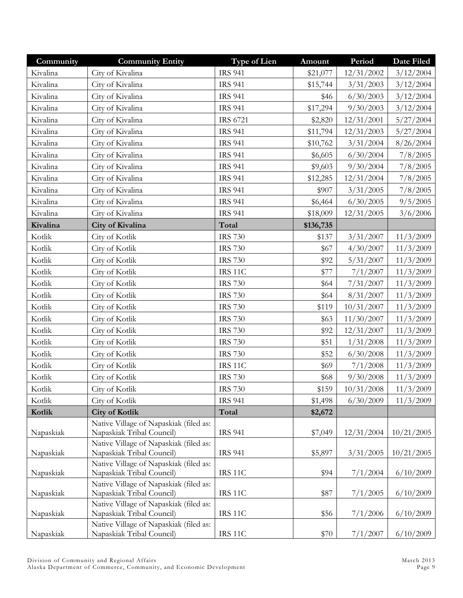| Community | <b>Community Entity</b>                                             | Type of Lien    | Amount    | Period     | Date Filed |
|-----------|---------------------------------------------------------------------|-----------------|-----------|------------|------------|
| Kivalina  | City of Kivalina                                                    | <b>IRS 941</b>  | \$21,077  | 12/31/2002 | 3/12/2004  |
| Kivalina  | City of Kivalina                                                    | <b>IRS 941</b>  | \$15,744  | 3/31/2003  | 3/12/2004  |
| Kivalina  | City of Kivalina                                                    | <b>IRS 941</b>  | \$46      | 6/30/2003  | 3/12/2004  |
| Kivalina  | City of Kivalina                                                    | <b>IRS 941</b>  | \$17,294  | 9/30/2003  | 3/12/2004  |
| Kivalina  | City of Kivalina                                                    | <b>IRS 6721</b> | \$2,820   | 12/31/2001 | 5/27/2004  |
| Kivalina  | City of Kivalina                                                    | <b>IRS 941</b>  | \$11,794  | 12/31/2003 | 5/27/2004  |
| Kivalina  | City of Kivalina                                                    | <b>IRS 941</b>  | \$10,762  | 3/31/2004  | 8/26/2004  |
| Kivalina  | City of Kivalina                                                    | <b>IRS 941</b>  | \$6,605   | 6/30/2004  | 7/8/2005   |
| Kivalina  | City of Kivalina                                                    | <b>IRS 941</b>  | \$9,603   | 9/30/2004  | 7/8/2005   |
| Kivalina  | City of Kivalina                                                    | <b>IRS 941</b>  | \$12,285  | 12/31/2004 | 7/8/2005   |
| Kivalina  | City of Kivalina                                                    | <b>IRS 941</b>  | \$907     | 3/31/2005  | 7/8/2005   |
| Kivalina  | City of Kivalina                                                    | <b>IRS 941</b>  | \$6,464   | 6/30/2005  | 9/5/2005   |
| Kivalina  | City of Kivalina                                                    | <b>IRS 941</b>  | \$18,009  | 12/31/2005 | 3/6/2006   |
| Kivalina  | City of Kivalina                                                    | Total           | \$136,735 |            |            |
| Kotlik    | City of Kotlik                                                      | <b>IRS 730</b>  | \$137     | 3/31/2007  | 11/3/2009  |
| Kotlik    | City of Kotlik                                                      | <b>IRS 730</b>  | \$67      | 4/30/2007  | 11/3/2009  |
| Kotlik    | City of Kotlik                                                      | <b>IRS 730</b>  | \$92      | 5/31/2007  | 11/3/2009  |
| Kotlik    | City of Kotlik                                                      | IRS 11C         | \$77      | 7/1/2007   | 11/3/2009  |
| Kotlik    | City of Kotlik                                                      | <b>IRS 730</b>  | \$64      | 7/31/2007  | 11/3/2009  |
| Kotlik    | City of Kotlik                                                      | <b>IRS 730</b>  | \$64      | 8/31/2007  | 11/3/2009  |
| Kotlik    | City of Kotlik                                                      | <b>IRS 730</b>  | \$119     | 10/31/2007 | 11/3/2009  |
| Kotlik    | City of Kotlik                                                      | <b>IRS 730</b>  | \$63      | 11/30/2007 | 11/3/2009  |
| Kotlik    | City of Kotlik                                                      | <b>IRS 730</b>  | \$92      | 12/31/2007 | 11/3/2009  |
| Kotlik    | City of Kotlik                                                      | <b>IRS 730</b>  | \$51      | 1/31/2008  | 11/3/2009  |
| Kotlik    | City of Kotlik                                                      | <b>IRS 730</b>  | \$52      | 6/30/2008  | 11/3/2009  |
| Kotlik    | City of Kotlik                                                      | IRS 11C         | \$69      | 7/1/2008   | 11/3/2009  |
| Kotlik    | City of Kotlik                                                      | <b>IRS 730</b>  | \$68      | 9/30/2008  | 11/3/2009  |
| Kotlik    | City of Kotlik                                                      | <b>IRS 730</b>  | \$159     | 10/31/2008 | 11/3/2009  |
| Kotlik    | City of Kotlik                                                      | <b>IRS 941</b>  | \$1,498   | 6/30/2009  | 11/3/2009  |
| Kotlik    | <b>City of Kotlik</b>                                               | Total           | \$2,672   |            |            |
|           | Native Village of Napaskiak (filed as:                              |                 |           |            |            |
| Napaskiak | Napaskiak Tribal Council)                                           | <b>IRS 941</b>  | \$7,049   | 12/31/2004 | 10/21/2005 |
|           | Native Village of Napaskiak (filed as:                              |                 |           |            |            |
| Napaskiak | Napaskiak Tribal Council)<br>Native Village of Napaskiak (filed as: | <b>IRS 941</b>  | \$5,897   | 3/31/2005  | 10/21/2005 |
| Napaskiak | Napaskiak Tribal Council)                                           | <b>IRS 11C</b>  | \$94      | 7/1/2004   | 6/10/2009  |
|           | Native Village of Napaskiak (filed as:                              |                 |           |            |            |
| Napaskiak | Napaskiak Tribal Council)                                           | <b>IRS 11C</b>  | \$87      | 7/1/2005   | 6/10/2009  |
|           | Native Village of Napaskiak (filed as:                              |                 |           |            |            |
| Napaskiak | Napaskiak Tribal Council)                                           | <b>IRS 11C</b>  | \$56      | 7/1/2006   | 6/10/2009  |
|           | Native Village of Napaskiak (filed as:                              |                 |           |            |            |
| Napaskiak | Napaskiak Tribal Council)                                           | IRS 11C         | \$70      | 7/1/2007   | 6/10/2009  |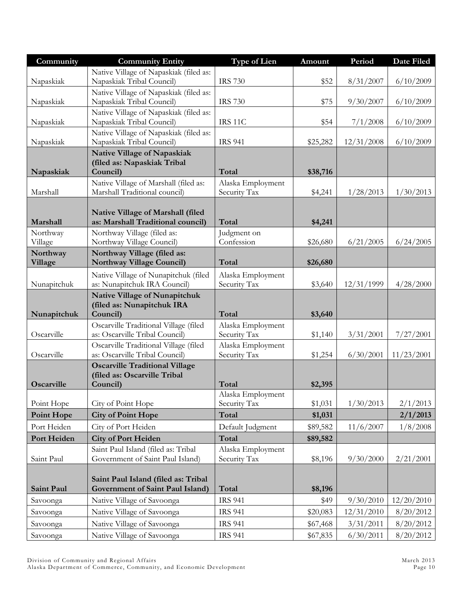| Community            | <b>Community Entity</b>                                                 | <b>Type of Lien</b>               | Amount   | Period     | <b>Date Filed</b> |
|----------------------|-------------------------------------------------------------------------|-----------------------------------|----------|------------|-------------------|
|                      | Native Village of Napaskiak (filed as:                                  |                                   |          |            |                   |
| Napaskiak            | Napaskiak Tribal Council)                                               | <b>IRS 730</b>                    | \$52     | 8/31/2007  | 6/10/2009         |
|                      | Native Village of Napaskiak (filed as:                                  |                                   |          |            |                   |
| Napaskiak            | Napaskiak Tribal Council)<br>Native Village of Napaskiak (filed as:     | <b>IRS 730</b>                    | \$75     | 9/30/2007  | 6/10/2009         |
| Napaskiak            | Napaskiak Tribal Council)                                               | IRS 11C                           | \$54     | 7/1/2008   | 6/10/2009         |
|                      | Native Village of Napaskiak (filed as:                                  |                                   |          |            |                   |
| Napaskiak            | Napaskiak Tribal Council)                                               | <b>IRS 941</b>                    | \$25,282 | 12/31/2008 | 6/10/2009         |
|                      | Native Village of Napaskiak                                             |                                   |          |            |                   |
| Napaskiak            | (filed as: Napaskiak Tribal<br>Council)                                 | Total                             | \$38,716 |            |                   |
|                      | Native Village of Marshall (filed as:                                   | Alaska Employment                 |          |            |                   |
| Marshall             | Marshall Traditional council)                                           | Security Tax                      | \$4,241  | 1/28/2013  | 1/30/2013         |
|                      |                                                                         |                                   |          |            |                   |
|                      | Native Village of Marshall (filed<br>as: Marshall Traditional council)  | Total                             |          |            |                   |
| Marshall<br>Northway | Northway Village (filed as:                                             | Judgment on                       | \$4,241  |            |                   |
| Village              | Northway Village Council)                                               | Confession                        | \$26,680 | 6/21/2005  | 6/24/2005         |
| Northway             | Northway Village (filed as:                                             |                                   |          |            |                   |
| Village              | <b>Northway Village Council)</b>                                        | Total                             | \$26,680 |            |                   |
|                      | Native Village of Nunapitchuk (filed                                    | Alaska Employment                 |          |            |                   |
| Nunapitchuk          | as: Nunapitchuk IRA Council)                                            | Security Tax                      | \$3,640  | 12/31/1999 | 4/28/2000         |
|                      | <b>Native Village of Nunapitchuk</b>                                    |                                   |          |            |                   |
| Nunapitchuk          | (filed as: Nunapitchuk IRA<br>Council)                                  | Total                             | \$3,640  |            |                   |
|                      | Oscarville Traditional Village (filed                                   | Alaska Employment                 |          |            |                   |
| Oscarville           | as: Oscarville Tribal Council)                                          | Security Tax                      | \$1,140  | 3/31/2001  | 7/27/2001         |
|                      | Oscarville Traditional Village (filed                                   | Alaska Employment                 |          |            |                   |
| Oscarville           | as: Oscarville Tribal Council)                                          | Security Tax                      | \$1,254  | 6/30/2001  | 11/23/2001        |
|                      | <b>Oscarville Traditional Village</b><br>(filed as: Oscarville Tribal   |                                   |          |            |                   |
| Oscarville           | Council)                                                                | Total                             | \$2,395  |            |                   |
|                      |                                                                         | Alaska Employment                 |          |            |                   |
| Point Hope           | City of Point Hope                                                      | Security Tax                      | \$1,031  | 1/30/2013  | 2/1/2013          |
| <b>Point Hope</b>    | <b>City of Point Hope</b>                                               | Total                             | \$1,031  |            | 2/1/2013          |
| Port Heiden          | City of Port Heiden                                                     | Default Judgment                  | \$89,582 | 11/6/2007  | 1/8/2008          |
| Port Heiden          | <b>City of Port Heiden</b>                                              | Total                             | \$89,582 |            |                   |
| Saint Paul           | Saint Paul Island (filed as: Tribal<br>Government of Saint Paul Island) | Alaska Employment<br>Security Tax | \$8,196  | 9/30/2000  | 2/21/2001         |
|                      |                                                                         |                                   |          |            |                   |
|                      | Saint Paul Island (filed as: Tribal                                     |                                   |          |            |                   |
| Saint Paul           | Government of Saint Paul Island)                                        | Total                             | \$8,196  |            |                   |
| Savoonga             | Native Village of Savoonga                                              | <b>IRS 941</b>                    | \$49     | 9/30/2010  | 12/20/2010        |
| Savoonga             | Native Village of Savoonga                                              | <b>IRS 941</b>                    | \$20,083 | 12/31/2010 | 8/20/2012         |
| Savoonga             | Native Village of Savoonga                                              | <b>IRS 941</b>                    | \$67,468 | 3/31/2011  | 8/20/2012         |
| Savoonga             | Native Village of Savoonga                                              | <b>IRS 941</b>                    | \$67,835 | 6/30/2011  | 8/20/2012         |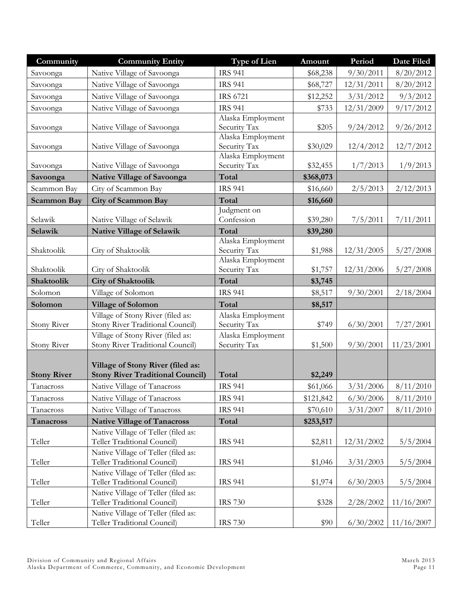| Community          | <b>Community Entity</b>                                            | <b>Type of Lien</b>               | Amount    | Period     | <b>Date Filed</b> |
|--------------------|--------------------------------------------------------------------|-----------------------------------|-----------|------------|-------------------|
| Savoonga           | Native Village of Savoonga                                         | <b>IRS 941</b>                    | \$68,238  | 9/30/2011  | 8/20/2012         |
| Savoonga           | Native Village of Savoonga                                         | <b>IRS 941</b>                    | \$68,727  | 12/31/2011 | 8/20/2012         |
| Savoonga           | Native Village of Savoonga                                         | <b>IRS 6721</b>                   | \$12,252  | 3/31/2012  | 9/3/2012          |
| Savoonga           | Native Village of Savoonga                                         | <b>IRS 941</b>                    | \$733     | 12/31/2009 | 9/17/2012         |
|                    |                                                                    | Alaska Employment                 |           |            |                   |
| Savoonga           | Native Village of Savoonga                                         | Security Tax                      | \$205     | 9/24/2012  | 9/26/2012         |
|                    | Native Village of Savoonga                                         | Alaska Employment<br>Security Tax | \$30,029  | 12/4/2012  | 12/7/2012         |
| Savoonga           |                                                                    | Alaska Employment                 |           |            |                   |
| Savoonga           | Native Village of Savoonga                                         | Security Tax                      | \$32,455  | 1/7/2013   | 1/9/2013          |
| Savoonga           | <b>Native Village of Savoonga</b>                                  | Total                             | \$368,073 |            |                   |
| Scammon Bay        | City of Scammon Bay                                                | <b>IRS 941</b>                    | \$16,660  | 2/5/2013   | 2/12/2013         |
| <b>Scammon Bay</b> | <b>City of Scammon Bay</b>                                         | Total                             | \$16,660  |            |                   |
|                    |                                                                    | Judgment on                       |           |            |                   |
| Selawik            | Native Village of Selawik                                          | Confession                        | \$39,280  | 7/5/2011   | 7/11/2011         |
| Selawik            | <b>Native Village of Selawik</b>                                   | Total                             | \$39,280  |            |                   |
|                    |                                                                    | Alaska Employment                 |           |            |                   |
| Shaktoolik         | City of Shaktoolik                                                 | Security Tax<br>Alaska Employment | \$1,988   | 12/31/2005 | 5/27/2008         |
| Shaktoolik         | City of Shaktoolik                                                 | Security Tax                      | \$1,757   | 12/31/2006 | 5/27/2008         |
| Shaktoolik         | <b>City of Shaktoolik</b>                                          | Total                             | \$3,745   |            |                   |
| Solomon            | Village of Solomon                                                 | <b>IRS 941</b>                    | \$8,517   | 9/30/2001  | 2/18/2004         |
| Solomon            | <b>Village of Solomon</b>                                          | Total                             | \$8,517   |            |                   |
|                    | Village of Stony River (filed as:                                  | Alaska Employment                 |           |            |                   |
| Stony River        | Stony River Traditional Council)                                   | Security Tax                      | \$749     | 6/30/2001  | 7/27/2001         |
|                    | Village of Stony River (filed as:                                  | Alaska Employment                 |           |            |                   |
| <b>Stony River</b> | Stony River Traditional Council)                                   | Security Tax                      | \$1,500   | 9/30/2001  | 11/23/2001        |
|                    | Village of Stony River (filed as:                                  |                                   |           |            |                   |
| <b>Stony River</b> | <b>Stony River Traditional Council)</b>                            | Total                             | \$2,249   |            |                   |
| Tanacross          | Native Village of Tanacross                                        | <b>IRS 941</b>                    | \$61,066  | 3/31/2006  | 8/11/2010         |
| Tanacross          | Native Village of Tanacross                                        | <b>IRS 941</b>                    | \$121,842 | 6/30/2006  | 8/11/2010         |
| Tanacross          | Native Village of Tanacross                                        | <b>IRS 941</b>                    | \$70,610  | 3/31/2007  | 8/11/2010         |
| Tanacross          | <b>Native Village of Tanacross</b>                                 | Total                             | \$253,517 |            |                   |
|                    | Native Village of Teller (filed as:                                |                                   |           |            |                   |
| Teller             | Teller Traditional Council)                                        | <b>IRS 941</b>                    | \$2,811   | 12/31/2002 | 5/5/2004          |
|                    | Native Village of Teller (filed as:                                |                                   |           |            |                   |
| Teller             | Teller Traditional Council)                                        | <b>IRS 941</b>                    | \$1,046   | 3/31/2003  | 5/5/2004          |
|                    | Native Village of Teller (filed as:                                |                                   |           |            |                   |
| Teller             | Teller Traditional Council)                                        | <b>IRS 941</b>                    | \$1,974   | 6/30/2003  | 5/5/2004          |
| Teller             | Native Village of Teller (filed as:<br>Teller Traditional Council) | <b>IRS 730</b>                    | \$328     | 2/28/2002  | 11/16/2007        |
|                    | Native Village of Teller (filed as:                                |                                   |           |            |                   |
| Teller             | Teller Traditional Council)                                        | <b>IRS 730</b>                    | \$90      | 6/30/2002  | 11/16/2007        |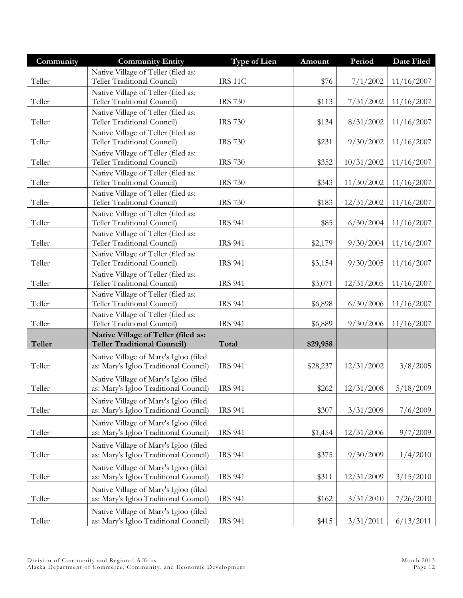| Community     | <b>Community Entity</b>                                                        | <b>Type of Lien</b> | Amount   | Period     | Date Filed |
|---------------|--------------------------------------------------------------------------------|---------------------|----------|------------|------------|
|               | Native Village of Teller (filed as:                                            |                     |          |            |            |
| Teller        | Teller Traditional Council)                                                    | IRS 11C             | \$76     | 7/1/2002   | 11/16/2007 |
|               | Native Village of Teller (filed as:                                            |                     |          |            |            |
| Teller        | Teller Traditional Council)                                                    | <b>IRS 730</b>      | \$113    | 7/31/2002  | 11/16/2007 |
|               | Native Village of Teller (filed as:                                            |                     |          |            |            |
| Teller        | Teller Traditional Council)                                                    | <b>IRS 730</b>      | \$134    | 8/31/2002  | 11/16/2007 |
|               | Native Village of Teller (filed as:                                            |                     |          |            |            |
| Teller        | Teller Traditional Council)                                                    | <b>IRS 730</b>      | \$231    | 9/30/2002  | 11/16/2007 |
| Teller        | Native Village of Teller (filed as:<br>Teller Traditional Council)             | <b>IRS 730</b>      | \$352    | 10/31/2002 | 11/16/2007 |
|               | Native Village of Teller (filed as:                                            |                     |          |            |            |
| Teller        | Teller Traditional Council)                                                    | <b>IRS 730</b>      | \$343    | 11/30/2002 | 11/16/2007 |
|               | Native Village of Teller (filed as:                                            |                     |          |            |            |
| Teller        | Teller Traditional Council)                                                    | <b>IRS 730</b>      | \$183    | 12/31/2002 | 11/16/2007 |
|               | Native Village of Teller (filed as:                                            |                     |          |            |            |
| Teller        | Teller Traditional Council)                                                    | <b>IRS 941</b>      | \$85     | 6/30/2004  | 11/16/2007 |
|               | Native Village of Teller (filed as:                                            |                     |          |            |            |
| Teller        | Teller Traditional Council)                                                    | <b>IRS 941</b>      | \$2,179  | 9/30/2004  | 11/16/2007 |
|               | Native Village of Teller (filed as:                                            |                     |          |            |            |
| Teller        | Teller Traditional Council)                                                    | <b>IRS 941</b>      | \$3,154  | 9/30/2005  | 11/16/2007 |
|               | Native Village of Teller (filed as:                                            |                     |          |            |            |
| Teller        | Teller Traditional Council)                                                    | <b>IRS 941</b>      | \$3,071  | 12/31/2005 | 11/16/2007 |
|               | Native Village of Teller (filed as:                                            |                     |          |            |            |
| Teller        | Teller Traditional Council)                                                    | <b>IRS 941</b>      | \$6,898  | 6/30/2006  | 11/16/2007 |
|               | Native Village of Teller (filed as:                                            |                     |          |            |            |
| Teller        | Teller Traditional Council)                                                    | <b>IRS 941</b>      | \$6,889  | 9/30/2006  | 11/16/2007 |
| <b>Teller</b> | Native Village of Teller (filed as:<br><b>Teller Traditional Council)</b>      | Total               | \$29,958 |            |            |
|               | Native Village of Mary's Igloo (filed                                          |                     |          |            |            |
| Teller        | as: Mary's Igloo Traditional Council)                                          | <b>IRS 941</b>      | \$28,237 | 12/31/2002 | 3/8/2005   |
|               | Native Village of Mary's Igloo (filed                                          |                     |          |            |            |
| Teller        | as: Mary's Igloo Traditional Council)                                          | <b>IRS 941</b>      | \$262    | 12/31/2008 | 5/18/2009  |
|               | Native Village of Mary's Igloo (filed                                          |                     |          |            |            |
| Teller        | as: Mary's Igloo Traditional Council)                                          | <b>IRS 941</b>      | \$307    | 3/31/2009  | 7/6/2009   |
|               | Native Village of Mary's Igloo (filed                                          |                     |          |            |            |
| Teller        | as: Mary's Igloo Traditional Council)                                          | <b>IRS 941</b>      | \$1,454  | 12/31/2006 | 9/7/2009   |
|               | Native Village of Mary's Igloo (filed                                          |                     |          |            |            |
| Teller        | as: Mary's Igloo Traditional Council)                                          | <b>IRS 941</b>      | \$375    | 9/30/2009  | 1/4/2010   |
|               | Native Village of Mary's Igloo (filed                                          |                     |          |            |            |
| Teller        | as: Mary's Igloo Traditional Council)                                          | <b>IRS 941</b>      | \$311    | 12/31/2009 | 3/15/2010  |
|               |                                                                                |                     |          |            |            |
| Teller        | Native Village of Mary's Igloo (filed<br>as: Mary's Igloo Traditional Council) | <b>IRS 941</b>      | \$162    | 3/31/2010  | 7/26/2010  |
|               |                                                                                |                     |          |            |            |
| Teller        | Native Village of Mary's Igloo (filed<br>as: Mary's Igloo Traditional Council) | <b>IRS 941</b>      | \$415    | 3/31/2011  | 6/13/2011  |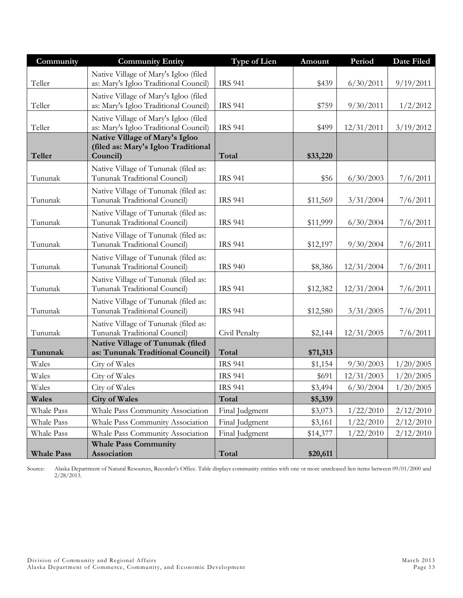| Community         | <b>Community Entity</b>                                                           | <b>Type of Lien</b> | Amount   | Period     | <b>Date Filed</b> |
|-------------------|-----------------------------------------------------------------------------------|---------------------|----------|------------|-------------------|
| Teller            | Native Village of Mary's Igloo (filed<br>as: Mary's Igloo Traditional Council)    | <b>IRS 941</b>      | \$439    | 6/30/2011  | 9/19/2011         |
| Teller            | Native Village of Mary's Igloo (filed<br>as: Mary's Igloo Traditional Council)    | <b>IRS 941</b>      | \$759    | 9/30/2011  | 1/2/2012          |
| Teller            | Native Village of Mary's Igloo (filed<br>as: Mary's Igloo Traditional Council)    | <b>IRS 941</b>      | \$499    | 12/31/2011 | 3/19/2012         |
| <b>Teller</b>     | Native Village of Mary's Igloo<br>(filed as: Mary's Igloo Traditional<br>Council) | Total               | \$33,220 |            |                   |
| Tununak           | Native Village of Tununak (filed as:<br>Tununak Traditional Council)              | <b>IRS 941</b>      | \$56     | 6/30/2003  | 7/6/2011          |
| Tununak           | Native Village of Tununak (filed as:<br>Tununak Traditional Council)              | <b>IRS 941</b>      | \$11,569 | 3/31/2004  | 7/6/2011          |
| Tununak           | Native Village of Tununak (filed as:<br>Tununak Traditional Council)              | <b>IRS 941</b>      | \$11,999 | 6/30/2004  | 7/6/2011          |
| Tununak           | Native Village of Tununak (filed as:<br>Tununak Traditional Council)              | <b>IRS 941</b>      | \$12,197 | 9/30/2004  | 7/6/2011          |
| Tununak           | Native Village of Tununak (filed as:<br>Tununak Traditional Council)              | <b>IRS 940</b>      | \$8,386  | 12/31/2004 | 7/6/2011          |
| Tununak           | Native Village of Tununak (filed as:<br>Tununak Traditional Council)              | <b>IRS 941</b>      | \$12,382 | 12/31/2004 | 7/6/2011          |
| Tununak           | Native Village of Tununak (filed as:<br>Tununak Traditional Council)              | <b>IRS 941</b>      | \$12,580 | 3/31/2005  | 7/6/2011          |
| Tununak           | Native Village of Tununak (filed as:<br>Tununak Traditional Council)              | Civil Penalty       | \$2,144  | 12/31/2005 | 7/6/2011          |
| Tununak           | Native Village of Tununak (filed<br>as: Tununak Traditional Council)              | Total               | \$71,313 |            |                   |
| Wales             | City of Wales                                                                     | <b>IRS 941</b>      | \$1,154  | 9/30/2003  | 1/20/2005         |
| Wales             | City of Wales                                                                     | <b>IRS 941</b>      | \$691    | 12/31/2003 | 1/20/2005         |
| Wales             | City of Wales                                                                     | <b>IRS 941</b>      | \$3,494  | 6/30/2004  | 1/20/2005         |
| Wales             | <b>City of Wales</b>                                                              | Total               | \$5,339  |            |                   |
| Whale Pass        | Whale Pass Community Association                                                  | Final Judgment      | \$3,073  | 1/22/2010  | 2/12/2010         |
| Whale Pass        | Whale Pass Community Association                                                  | Final Judgment      | \$3,161  | 1/22/2010  | 2/12/2010         |
| Whale Pass        | Whale Pass Community Association                                                  | Final Judgment      | \$14,377 | 1/22/2010  | 2/12/2010         |
| <b>Whale Pass</b> | <b>Whale Pass Community</b><br>Association                                        | Total               | \$20,611 |            |                   |

Source: Alaska Department of Natural Resources, Recorder's Office. Table displays community entities with one or more unreleased lien items between 09/01/2000 and 2/28/2013.